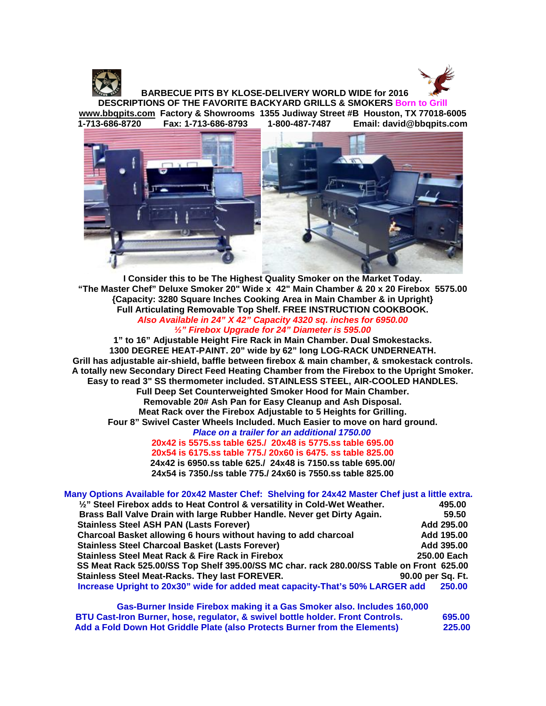



 **BARBECUE PITS BY KLOSE-DELIVERY WORLD WIDE for 2016 DESCRIPTIONS OF THE FAVORITE BACKYARD GRILLS & SMOKERS Born to Grill [www.bbqpits.com](http://www.bbqpits.com/) Factory & Showrooms 1355 Judiway Street #B Houston, TX 77018-6005 Email: david@bbqpits.com** 



**I Consider this to be The Highest Quality Smoker on the Market Today. "The Master Chef" Deluxe Smoker 20" Wide x 42" Main Chamber & 20 x 20 Firebox 5575.00 {Capacity: 3280 Square Inches Cooking Area in Main Chamber & in Upright} Full Articulating Removable Top Shelf. FREE INSTRUCTION COOKBOOK.** *Also Available in 24" X 42" Capacity 4320 sq. inches for 6950.00 ½" Firebox Upgrade for 24" Diameter is 595.00*

**1" to 16" Adjustable Height Fire Rack in Main Chamber. Dual Smokestacks. 1300 DEGREE HEAT-PAINT. 20" wide by 62" long LOG-RACK UNDERNEATH. Grill has adjustable air-shield, baffle between firebox & main chamber, & smokestack controls. A totally new Secondary Direct Feed Heating Chamber from the Firebox to the Upright Smoker. Easy to read 3" SS thermometer included. STAINLESS STEEL, AIR-COOLED HANDLES. Full Deep Set Counterweighted Smoker Hood for Main Chamber. Removable 20# Ash Pan for Easy Cleanup and Ash Disposal. Meat Rack over the Firebox Adjustable to 5 Heights for Grilling. Four 8" Swivel Caster Wheels Included. Much Easier to move on hard ground.**  *Place on a trailer for an additional 1750.00*

**20x42 is 5575.ss table 625./ 20x48 is 5775.ss table 695.00 20x54 is 6175.ss table 775./ 20x60 is 6475. ss table 825.00 24x42 is 6950.ss table 625./ 24x48 is 7150.ss table 695.00/ 24x54 is 7350./ss table 775./ 24x60 is 7550.ss table 825.00**

| Many Options Available for 20x42 Master Chef: Shelving for 24x42 Master Chef just a little extra. |                   |
|---------------------------------------------------------------------------------------------------|-------------------|
| $\frac{1}{2}$ " Steel Firebox adds to Heat Control & versatility in Cold-Wet Weather.             | 495.00            |
| Brass Ball Valve Drain with large Rubber Handle. Never get Dirty Again.                           | 59.50             |
| <b>Stainless Steel ASH PAN (Lasts Forever)</b>                                                    | Add 295.00        |
| Charcoal Basket allowing 6 hours without having to add charcoal                                   | Add 195.00        |
| <b>Stainless Steel Charcoal Basket (Lasts Forever)</b>                                            | Add 395.00        |
| <b>Stainless Steel Meat Rack &amp; Fire Rack in Firebox</b>                                       | 250.00 Each       |
| SS Meat Rack 525.00/SS Top Shelf 395.00/SS MC char. rack 280.00/SS Table on Front 625.00          |                   |
| Stainless Steel Meat-Racks. They last FOREVER.                                                    | 90.00 per Sq. Ft. |
| Increase Upright to 20x30" wide for added meat capacity-That's 50% LARGER add                     | 250.00            |

**Gas-Burner Inside Firebox making it a Gas Smoker also. Includes 160,000 BTU Cast-Iron Burner, hose, regulator, & swivel bottle holder. Front Controls. 695.00** Add a Fold Down Hot Griddle Plate (also Protects Burner from the Elements)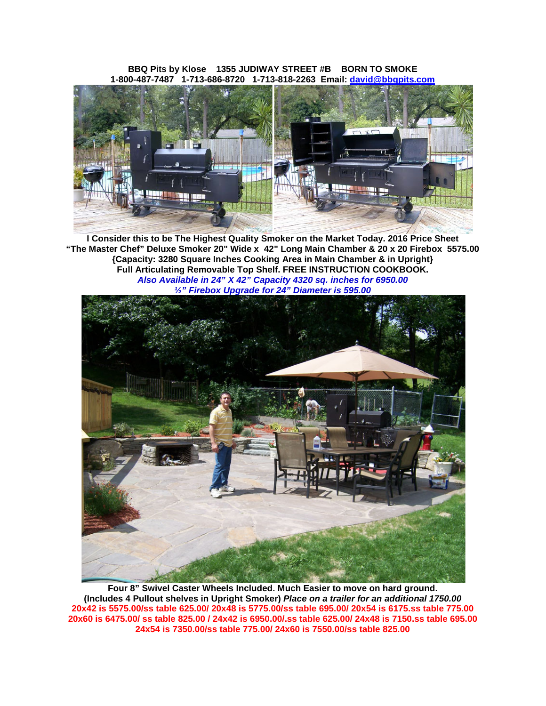**BBQ Pits by Klose 1355 JUDIWAY STREET #B BORN TO SMOKE 1-800-487-7487 1-713-686-8720 1-713-818-2263 Email: [david@bbqpits.com](mailto:david@bbqpits.com)**



**I Consider this to be The Highest Quality Smoker on the Market Today. 2016 Price Sheet "The Master Chef" Deluxe Smoker 20" Wide x 42" Long Main Chamber & 20 x 20 Firebox 5575.00 {Capacity: 3280 Square Inches Cooking Area in Main Chamber & in Upright} Full Articulating Removable Top Shelf. FREE INSTRUCTION COOKBOOK.** *Also Available in 24" X 42" Capacity 4320 sq. inches for 6950.00 ½" Firebox Upgrade for 24" Diameter is 595.00*



**Four 8" Swivel Caster Wheels Included. Much Easier to move on hard ground. (Includes 4 Pullout shelves in Upright Smoker)** *Place on a trailer for an additional 1750.00* **20x42 is 5575.00/ss table 625.00/ 20x48 is 5775.00/ss table 695.00/ 20x54 is 6175.ss table 775.00 20x60 is 6475.00/ ss table 825.00 / 24x42 is 6950.00/.ss table 625.00/ 24x48 is 7150.ss table 695.00 24x54 is 7350.00/ss table 775.00/ 24x60 is 7550.00/ss table 825.00**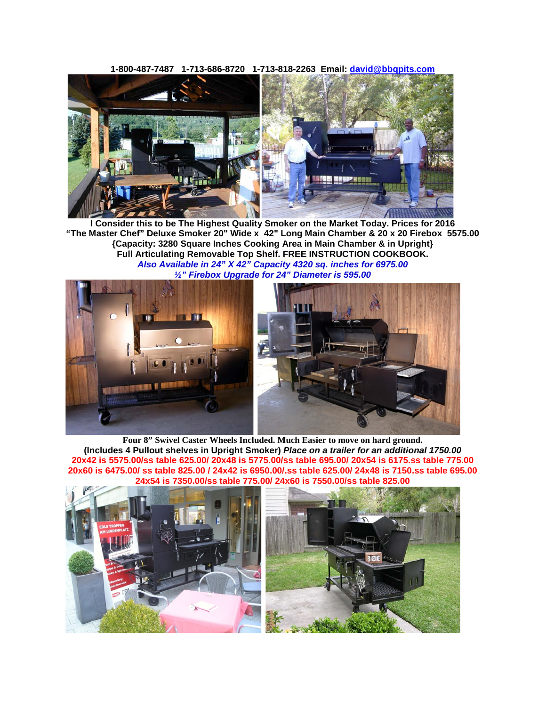**1-800-487-7487 1-713-686-8720 1-713-818-2263 Email: [david@bbqpits.com](mailto:david@bbqpits.com)**



**I Consider this to be The Highest Quality Smoker on the Market Today. Prices for 2016 "The Master Chef" Deluxe Smoker 20" Wide x 42" Long Main Chamber & 20 x 20 Firebox 5575.00 {Capacity: 3280 Square Inches Cooking Area in Main Chamber & in Upright} Full Articulating Removable Top Shelf. FREE INSTRUCTION COOKBOOK.** *Also Available in 24" X 42" Capacity 4320 sq. inches for 6975.00 ½" Firebox Upgrade for 24" Diameter is 595.00*



**Four 8" Swivel Caster Wheels Included. Much Easier to move on hard ground. (Includes 4 Pullout shelves in Upright Smoker)** *Place on a trailer for an additional 1750.00* **20x42 is 5575.00/ss table 625.00/ 20x48 is 5775.00/ss table 695.00/ 20x54 is 6175.ss table 775.00 20x60 is 6475.00/ ss table 825.00 / 24x42 is 6950.00/.ss table 625.00/ 24x48 is 7150.ss table 695.00 24x54 is 7350.00/ss table 775.00/ 24x60 is 7550.00/ss table 825.00**